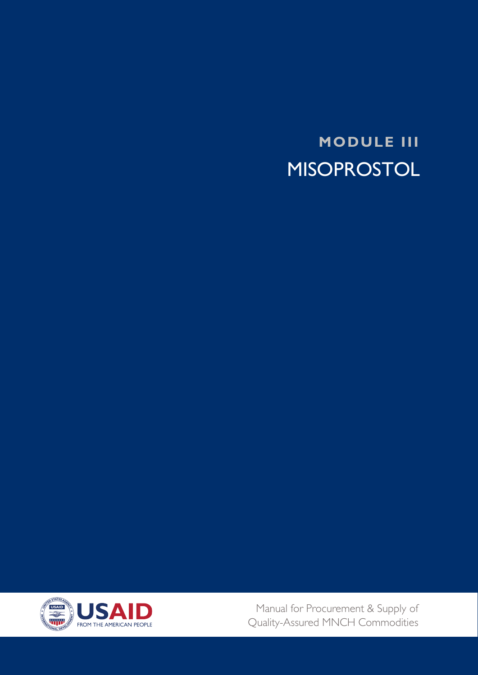**MODULE III MISOPROSTOL** 



Manual for Procurement & Supply of Quality-Assured MNCH Commodities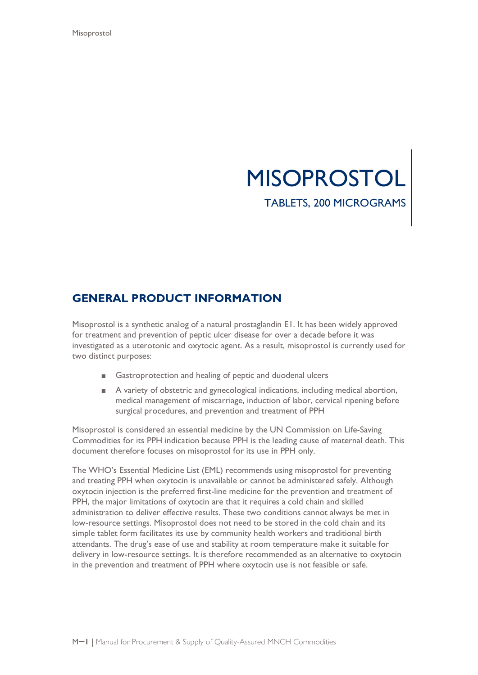

# **GENERAL PRODUCT INFORMATION**

Misoprostol is a synthetic analog of a natural prostaglandin E1. It has been widely approved for treatment and prevention of peptic ulcer disease for over a decade before it was investigated as a uterotonic and oxytocic agent. As a result, misoprostol is currently used for two distinct purposes:

- Gastroprotection and healing of peptic and duodenal ulcers
- A variety of obstetric and gynecological indications, including medical abortion, medical management of miscarriage, induction of labor, cervical ripening before surgical procedures, and prevention and treatment of PPH

Misoprostol is considered an essential medicine by the UN Commission on Life-Saving Commodities for its PPH indication because PPH is the leading cause of maternal death. This document therefore focuses on misoprostol for its use in PPH only.

The WHO's Essential Medicine List (EML) recommends using misoprostol for preventing and treating PPH when oxytocin is unavailable or cannot be administered safely. Although oxytocin injection is the preferred first-line medicine for the prevention and treatment of PPH, the major limitations of oxytocin are that it requires a cold chain and skilled administration to deliver effective results. These two conditions cannot always be met in low-resource settings. Misoprostol does not need to be stored in the cold chain and its simple tablet form facilitates its use by community health workers and traditional birth attendants. The drug's ease of use and stability at room temperature make it suitable for delivery in low-resource settings. It is therefore recommended as an alternative to oxytocin in the prevention and treatment of PPH where oxytocin use is not feasible or safe.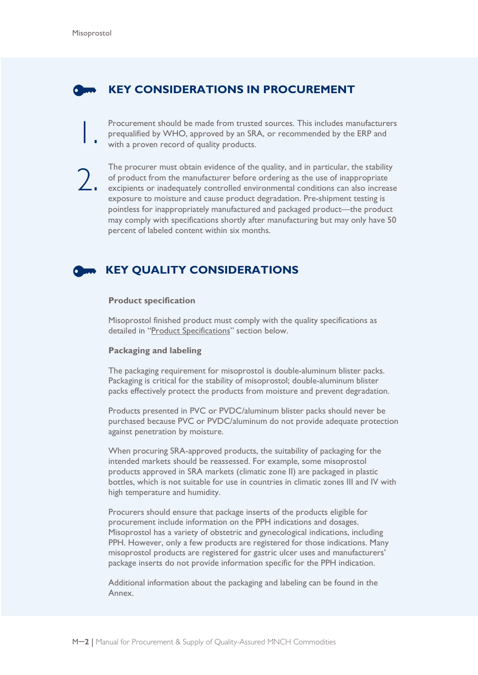## **KEY CONSIDERATIONS IN PROCUREMENT**

Procurement should be made from trusted sources. This includes manufacturers prequalified by WHO, approved by an SRA, or recommended by the ERP and with a proven record of quality products. prequalified by WHO, approved by an SRA, or recommended by the ERP and with a proven record of quality products.

The procurer must obtain evidence of the quality, and in particular, the stability of product from the manufacturer before ordering as the use of inappropriate excipients or inadequately controlled environmental conditions of product from the manufacturer before ordering as the use of inappropriate exposure to moisture and cause product degradation. Pre-shipment testing is pointless for inappropriately manufactured and packaged product—the product may comply with specifications shortly after manufacturing but may only have 50 percent of labeled content within six months.

# **KEY QUALITY CONSIDERATIONS**

#### **Product specification**

Misoprostol finished product must comply with the quality specifications as detailed in ["Product Specifications"](#page-11-0) section below.

#### **Packaging and labeling**

The packaging requirement for misoprostol is double-aluminum blister packs. Packaging is critical for the stability of misoprostol; double-aluminum blister packs effectively protect the products from moisture and prevent degradation.

Products presented in PVC or PVDC/aluminum blister packs should never be purchased because PVC or PVDC/aluminum do not provide adequate protection against penetration by moisture.

When procuring SRA-approved products, the suitability of packaging for the intended markets should be reassessed. For example, some misoprostol products approved in SRA markets (climatic zone II) are packaged in plastic bottles, which is not suitable for use in countries in climatic zones III and IV with high temperature and humidity.

Procurers should ensure that package inserts of the products eligible for procurement include information on the PPH indications and dosages. Misoprostol has a variety of obstetric and gynecological indications, including PPH. However, only a few products are registered for those indications. Many misoprostol products are registered for gastric ulcer uses and manufacturers' package inserts do not provide information specific for the PPH indication.

Additional information about the packaging and labeling can be found in the Annex.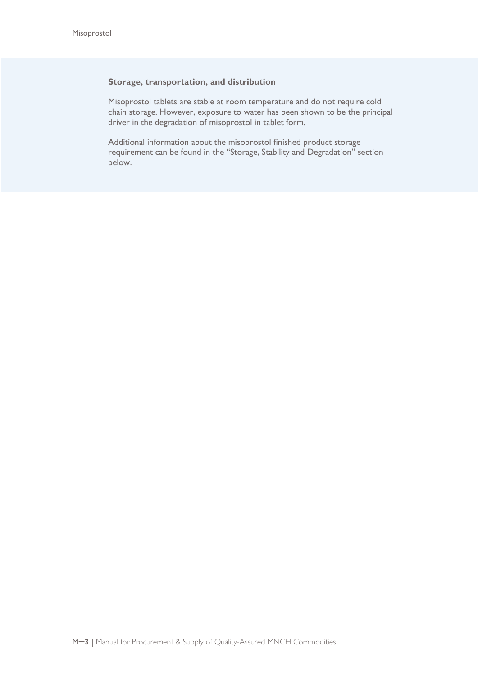#### **Storage, transportation, and distribution**

Misoprostol tablets are stable at room temperature and do not require cold chain storage. However, exposure to water has been shown to be the principal driver in the degradation of misoprostol in tablet form.

Additional information about the misoprostol finished product storage requirement can be found in the ["Storage, Stability and Degradation"](#page-10-0) section below.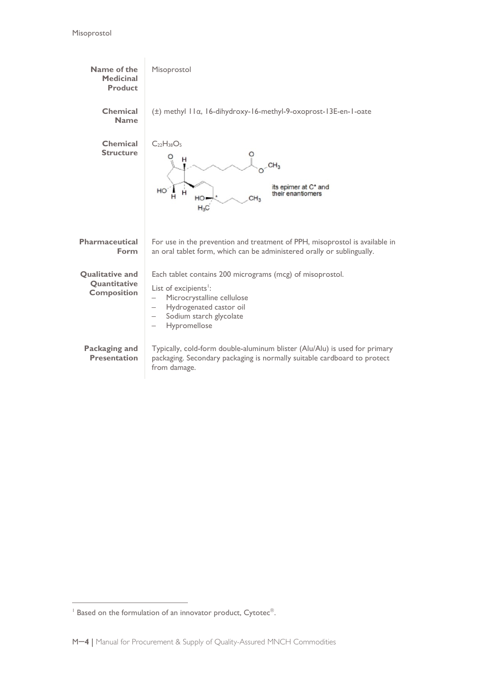

 $\overline{a}$ 

<span id="page-4-0"></span> $1$  Based on the formulation of an innovator product, Cytotec $\mathscr{C}$ .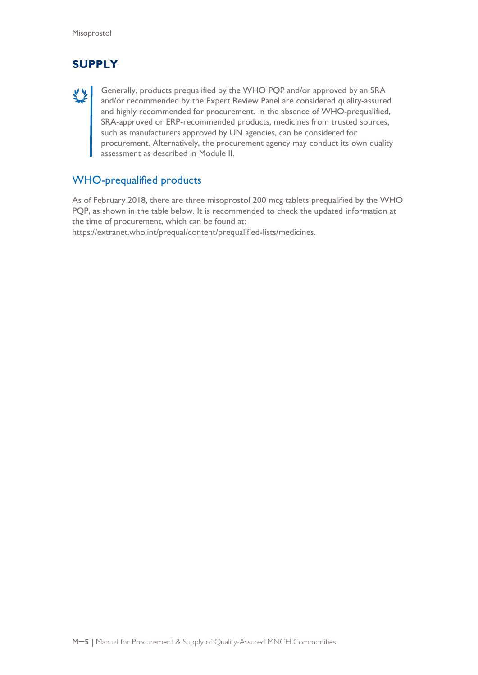# **SUPPLY**

Generally, products prequalified by the WHO PQP and/or approved by an SRA and/or recommended by the Expert Review Panel are considered quality-assured and highly recommended for procurement. In the absence of WHO-prequalified, SRA-approved or ERP-recommended products, medicines from trusted sources, such as manufacturers approved by UN agencies, can be considered for procurement. Alternatively, the procurement agency may conduct its own quality assessment as described in Module II.

## WHO-prequalified products

As of February 2018, there are three misoprostol 200 mcg tablets prequalified by the WHO PQP, as shown in the table below. It is recommended to check the updated information at the time of procurement, which can be found at: [https://extranet.who.int/prequal/content/prequalified-lists/medicines.](https://extranet.who.int/prequal/content/prequalified-lists/medicines)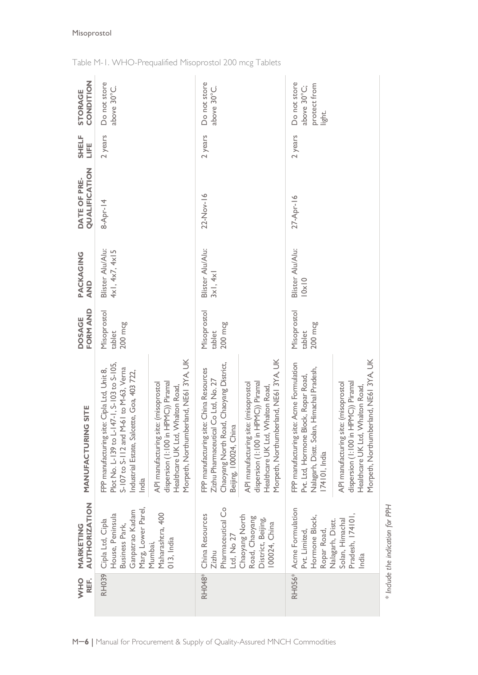| REF.<br>OHN   | <b>AUTHORIZATION</b><br>MARKETING                                                               | NG SITE<br>MANUFACTURI                                                                                                                                                                    | FORM AND<br><b>DOSAGE</b>        | PACKAGING<br>$\frac{D}{4}$         | QUALIFICATION<br>DATE OF PRE- | SHELF<br>LIFE | CONDITION<br><b>STORAGE</b>                           |
|---------------|-------------------------------------------------------------------------------------------------|-------------------------------------------------------------------------------------------------------------------------------------------------------------------------------------------|----------------------------------|------------------------------------|-------------------------------|---------------|-------------------------------------------------------|
| <b>RH039</b>  | Marg, Lower Parel,<br>Ganpatrao Kadam<br>House, Peninsula<br>Cipla Ltd, Cipla<br>Business Park, | Plot No. L-139 to L-147-1, S-103 to S-105,<br>S-107 to S-112 and M-61 to M-63, Verna<br>FPP manufacturing site: Cipla Ltd, Unit 8,<br>Industrial Estate, Salcette, Goa, 403 722,<br>India | Misoprostol<br>200 mcg<br>tablet | Blister Alu/Alu:<br>4x1, 4x7, 4x15 | $8 - Appr - 14$               | 2 years       | Do not store<br>above 30°C.                           |
|               | Maharashtra, 400<br>$013$ , India<br>Mumbai,                                                    | Morpeth, Northumberland, NE613YA, UK<br>dispersion (1:100 in HPMC)) Piramal<br>API manufacturing site: (misoprostol<br>Healthcare UK Ltd, Whalton Road,                                   |                                  |                                    |                               |               |                                                       |
| <b>RH048*</b> | Pharmaceutical Co<br>China Resources<br>Ltd, No 27<br>Zizhu                                     | Chaoyang North Road, Chaoyang District,<br>FPP manufacturing site: China Resources<br>Zizhu Pharmaceutical Co Ltd, No. 27<br>Beijing, 100024, China                                       | Misoprostol<br>200 mcg<br>tablet | Blister Alu/Alu:<br>3x1, 4x1       | 22-Nov-16                     | 2 years       | Do not store<br>above 30°C.                           |
|               | Chaoyang North<br>Road, Chaoyang<br>District, Beijing,<br>100024, China                         | Morpeth, Northumberland, NE61 3YA, UK<br>API manufacturing site: (misoprostol<br>dispersion (1:100 in HPMC)) Piramal<br>Healthcare UK Ltd, Whalton Road,                                  |                                  |                                    |                               |               |                                                       |
| <b>RH056*</b> | Acme Formulation<br>Hormone Block,<br>Ropar Road,<br>Pvt. Limited,                              | site: Acme Formulation<br>Nalagarh, Distt. Solan, Himachal Pradesh,<br>Pvt. Ltd, Hormone Block, Ropar Road,<br>FPP manufacturing<br>174101, India                                         | Misoprostol<br>200 mcg<br>tablet | Blister Alu/Alu:<br> 0x 0          | 27-Apr-16                     | 2 years       | Do not store<br>protect from<br>above 30°C;<br>light. |
|               | Pradesh, 174101,<br>Nalagarh, Distt.<br>Solan, Himachal<br>India                                | Morpeth, Northumberland, NE61 3YA, UK<br>dispersion (1:100 in HPMC)) Piramal<br>API manufacturing site: (misoprostol<br>Healthcare UK Ltd, Whalton Road,                                  |                                  |                                    |                               |               |                                                       |
|               | * Include the indication for PPH                                                                |                                                                                                                                                                                           |                                  |                                    |                               |               |                                                       |

Table M-1. WHO-Prequalified Misoprostol 200 mcg Tablets

## Misoprostol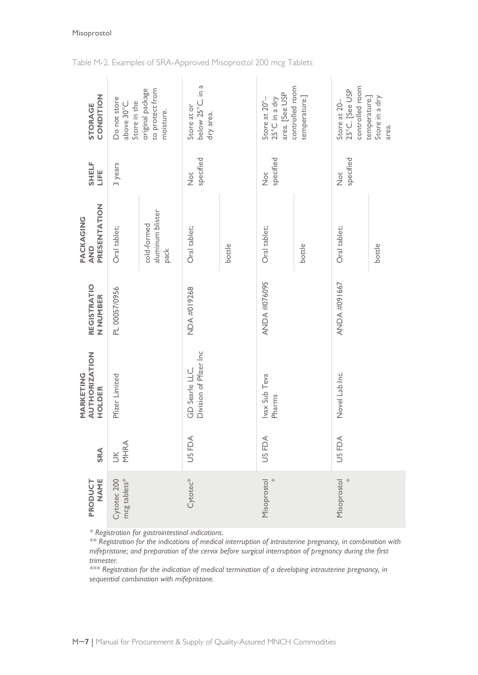| CONDITION<br>STORAGE                        | Do not store<br>Store in the<br>above 30°C. | original package<br>to protect from<br>moisture. | below 25°C, in a<br>Store at or<br>dry area. |        | area. [See USP<br>Store at $20^{\circ}$ -<br>25°C in a dry | controlled room<br>temperature.] | controlled room<br>25°C. [See USP<br>Store at 20- | temperature.]<br>Store in a dry<br>area. |
|---------------------------------------------|---------------------------------------------|--------------------------------------------------|----------------------------------------------|--------|------------------------------------------------------------|----------------------------------|---------------------------------------------------|------------------------------------------|
| SHELF<br>LIFE                               | 3 years                                     |                                                  | specified<br>$\frac{1}{2}$                   |        | specified<br>$\frac{1}{2}$                                 |                                  | specified<br>$\frac{1}{2}$                        |                                          |
| PRESENTATION<br>PACKAGING<br><b>AND</b>     | Oral tablet;                                | aluminum blister<br>cold-formed<br>pack          | Oral tablet;                                 | bottle | Oral tablet;                                               | bottle                           | Oral tablet;                                      | bottle                                   |
| <b>REGISTRATIO</b><br>N NUMBER              | PL 00057/0956                               |                                                  | NDA #019268                                  |        | <b>ANDA #076095</b>                                        |                                  | ANDA #091667                                      |                                          |
| <b>AUTHORIZATION</b><br>MARKETING<br>HOLDER | Pfizer Limited                              |                                                  | Division of Pfizer Inc<br>GD Searle LLC,     |        | Ivax Sub Teva<br>Pharms                                    |                                  | Novel Lab Inc.                                    |                                          |
| SRA                                         | UK<br>MHRA                                  |                                                  | US FDA                                       |        | US FDA                                                     |                                  | US FDA                                            |                                          |
| NAME<br>PRODUCT                             | mcg tablets*<br>Cytotec 200                 |                                                  | Cytotec*                                     |        | Misoprostol<br>$\ast$                                      |                                  | ⋇<br>Misoprostol                                  |                                          |

### Table M-2. Examples of SRA-Approved Misoprostol 200 mcg Tablets

*\* Registration for gastrointestinal indications.*

*\*\* Registration for the indications of medical interruption of intrauterine pregnancy, in combination with mifepristone; and preparation of the cervix before surgical interruption of pregnancy during the first trimester.*

*\*\*\* Registration for the indication of medical termination of a developing intrauterine pregnancy, in sequential combination with mifepristone.*

### Misoprostol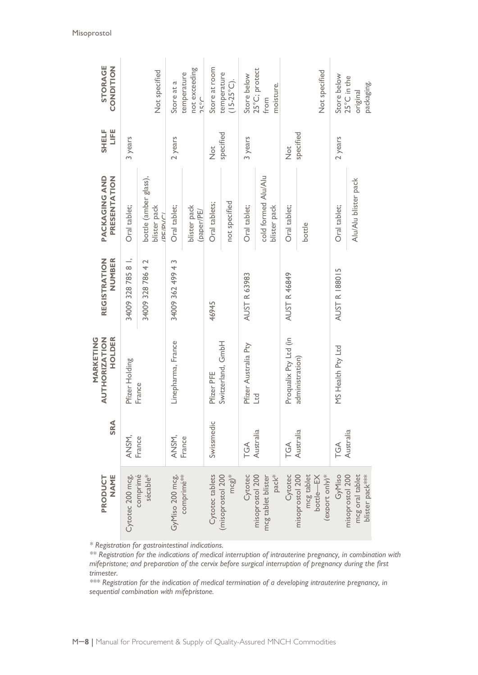| <b>STORAGE</b><br>CONDITION                                                                                                                                                                                                                                                                                                                                                                                                                                                                               |                    | Not specified                                            | Store at a         | not exceeding<br>temperature<br>$2^{\circ}Z$ | Store at room          | temperature<br>$(15-25°C).$           | Store below          | 25°C; protect<br>moisture.<br>from                         |                       | Not specified                              |               | Store below          | $25^{\circ}$ C in the<br>packaging.<br>original        |
|-----------------------------------------------------------------------------------------------------------------------------------------------------------------------------------------------------------------------------------------------------------------------------------------------------------------------------------------------------------------------------------------------------------------------------------------------------------------------------------------------------------|--------------------|----------------------------------------------------------|--------------------|----------------------------------------------|------------------------|---------------------------------------|----------------------|------------------------------------------------------------|-----------------------|--------------------------------------------|---------------|----------------------|--------------------------------------------------------|
| LIFE<br><b>SHELF</b>                                                                                                                                                                                                                                                                                                                                                                                                                                                                                      | 3 years            |                                                          | 2 years            |                                              | $\frac{1}{2}$          | specified                             | 3 years              |                                                            | $\frac{1}{2}$         | specified                                  |               | 2 years              |                                                        |
| PRESENTATION<br>PACKAGING AND                                                                                                                                                                                                                                                                                                                                                                                                                                                                             | Oral tablet;       | bottle (amber glass),<br>blister pack<br><b>PE/PV/C/</b> | Oral tablet;       | blister pack<br>(paper/PE/                   | Oral tablets;          | not specified                         | Oral tablet;         | cold formed Alu/Alu<br>blister pack                        | Oral tablet;          | bottle                                     |               | Oral tablet;         | Alu/Alu blister pack                                   |
| NUMBER<br><b>REGISTRATION</b>                                                                                                                                                                                                                                                                                                                                                                                                                                                                             | 34009 328 785 8 1, | 34009 328 786 4 2                                        | 34009 362 499 43   |                                              | 46945                  |                                       | AUST R 63983         |                                                            | <b>AUST R 46849</b>   |                                            |               | <b>AUST R 188015</b> |                                                        |
| AUTHORIZATION<br>HOLDER<br>MARKETING                                                                                                                                                                                                                                                                                                                                                                                                                                                                      | Pfizer Holding     | France                                                   | Linepharma, France |                                              | Pfizer PFE             | Switzerland, GmbH                     | Pfizer Australia Pty | Ltd                                                        | Proqualix Pty Ltd (in | administration)                            |               | MS Health Pty Ltd    |                                                        |
| SRA                                                                                                                                                                                                                                                                                                                                                                                                                                                                                                       | ANSM,              | France                                                   | ANSM,              | France                                       | Swissmedic             |                                       | ТGА                  | Australia                                                  | TGA                   | Australia                                  |               | $\widetilde{G}$      | Australia                                              |
| <b>NAME</b><br>PRODUCT                                                                                                                                                                                                                                                                                                                                                                                                                                                                                    | Cytotec 200 mcg    | comprimé<br>sécable*                                     | GyMiso 200 mcg,    | comprimé**                                   | <b>Cytotec</b> tablets | $mcg$ <sup>*</sup><br>misoprostol 200 | Cytotec              | pack <sup>*</sup><br>misoprostol 200<br>ncg tablet blister | Cytotec               | misoprostol 200<br>mcg tablet<br>bottle—EX | export only)* | GyMiso               | misoprostol 200<br>mcg oral tablet<br>blister pack *** |
| * Registration for gastrointestinal indications.<br>** Registration for the indications of medical interruption of intrauterine pregnancy, in combination<br>mifepristone; and preparation of the cervix before surgical interruption of pregnancy during the<br>trimester.<br>*** Registration for the indication of medical termination of a developing intrauterine pregnanc<br>sequential combination with mifepristone.<br>M-8   Manual for Procurement & Supply of Quality-Assured MNCH Commodities |                    |                                                          |                    |                                              |                        |                                       |                      |                                                            |                       |                                            |               |                      |                                                        |

*\*\* Registration for the indications of medical interruption of intrauterine pregnancy, in combination with mifepristone; and preparation of the cervix before surgical interruption of pregnancy during the first trimester.*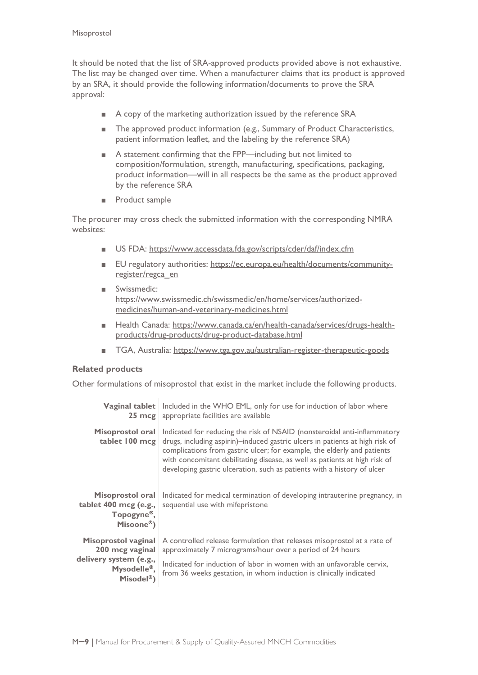It should be noted that the list of SRA-approved products provided above is not exhaustive. The list may be changed over time. When a manufacturer claims that its product is approved by an SRA, it should provide the following information/documents to prove the SRA approval:

- A copy of the marketing authorization issued by the reference SRA
- The approved product information (e.g., Summary of Product Characteristics, patient information leaflet, and the labeling by the reference SRA)
- A statement confirming that the FPP—including but not limited to composition/formulation, strength, manufacturing, specifications, packaging, product information—will in all respects be the same as the product approved by the reference SRA
- Product sample

The procurer may cross check the submitted information with the corresponding NMRA websites:

- US FDA:<https://www.accessdata.fda.gov/scripts/cder/daf/index.cfm>
- EU regulatory authorities: [https://ec.europa.eu/health/documents/community](https://ec.europa.eu/health/documents/community-register/regca_en)[register/regca\\_en](https://ec.europa.eu/health/documents/community-register/regca_en)
- Swissmedic: [https://www.swissmedic.ch/swissmedic/en/home/services/authorized](https://www.swissmedic.ch/swissmedic/en/home/services/authorized-medicines/human-and-veterinary-medicines.html)[medicines/human-and-veterinary-medicines.html](https://www.swissmedic.ch/swissmedic/en/home/services/authorized-medicines/human-and-veterinary-medicines.html)
- Health Canada: [https://www.canada.ca/en/health-canada/services/drugs-health](https://www.canada.ca/en/health-canada/services/drugs-health-products/drug-products/drug-product-database.html)[products/drug-products/drug-product-database.html](https://www.canada.ca/en/health-canada/services/drugs-health-products/drug-products/drug-product-database.html)
- TGA, Australia:<https://www.tga.gov.au/australian-register-therapeutic-goods>

#### **Related products**

Other formulations of misoprostol that exist in the market include the following products.

| Vaginal tablet<br>$25 \text{ mcg}$                                           | Included in the WHO EML, only for use for induction of labor where<br>appropriate facilities are available                                                                                                                                                                                                                                                                                   |
|------------------------------------------------------------------------------|----------------------------------------------------------------------------------------------------------------------------------------------------------------------------------------------------------------------------------------------------------------------------------------------------------------------------------------------------------------------------------------------|
| Misoprostol oral<br>tablet 100 mcg                                           | Indicated for reducing the risk of NSAID (nonsteroidal anti-inflammatory<br>drugs, including aspirin)-induced gastric ulcers in patients at high risk of<br>complications from gastric ulcer; for example, the elderly and patients<br>with concomitant debilitating disease, as well as patients at high risk of<br>developing gastric ulceration, such as patients with a history of ulcer |
| Misoprostol oral<br>tablet 400 mcg (e.g.,<br>Topogyne®,<br>Misoone®)         | Indicated for medical termination of developing intrauterine pregnancy, in<br>sequential use with mifepristone                                                                                                                                                                                                                                                                               |
| Misoprostol vaginal<br>200 mcg vaginal                                       | A controlled release formulation that releases misoprostol at a rate of<br>approximately 7 micrograms/hour over a period of 24 hours                                                                                                                                                                                                                                                         |
| delivery system (e.g.,<br>Mysodelle <sup>®</sup> ,<br>Misodel <sup>®</sup> ) | Indicated for induction of labor in women with an unfavorable cervix,<br>from 36 weeks gestation, in whom induction is clinically indicated                                                                                                                                                                                                                                                  |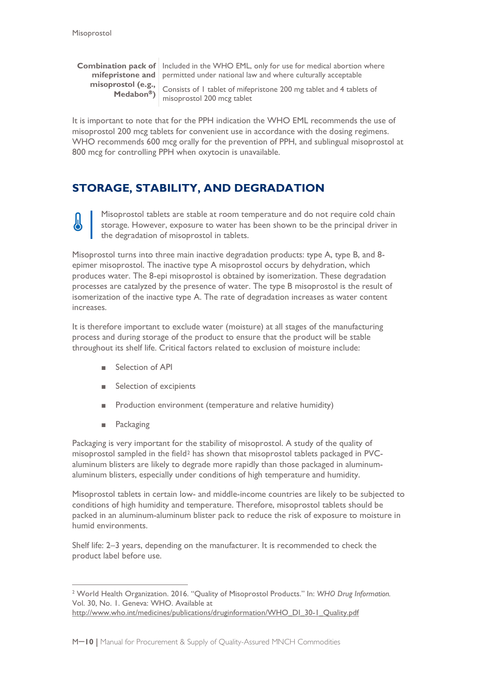**misoprostol (e.g., Medabon)**

**Combination pack of** Included in the WHO EML, only for use for medical abortion where **mifepristone and**  permitted under national law and where culturally acceptable

> Consists of 1 tablet of mifepristone 200 mg tablet and 4 tablets of misoprostol 200 mcg tablet

It is important to note that for the PPH indication the WHO EML recommends the use of misoprostol 200 mcg tablets for convenient use in accordance with the dosing regimens. WHO recommends 600 mcg orally for the prevention of PPH, and sublingual misoprostol at 800 mcg for controlling PPH when oxytocin is unavailable.

# <span id="page-10-0"></span>**STORAGE, STABILITY, AND DEGRADATION**

Misoprostol tablets are stable at room temperature and do not require cold chain storage. However, exposure to water has been shown to be the principal driver in the degradation of misoprostol in tablets.

Misoprostol turns into three main inactive degradation products: type A, type B, and 8 epimer misoprostol. The inactive type A misoprostol occurs by dehydration, which produces water. The 8-epi misoprostol is obtained by isomerization. These degradation processes are catalyzed by the presence of water. The type B misoprostol is the result of isomerization of the inactive type A. The rate of degradation increases as water content increases.

It is therefore important to exclude water (moisture) at all stages of the manufacturing process and during storage of the product to ensure that the product will be stable throughout its shelf life. Critical factors related to exclusion of moisture include:

- Selection of API
- Selection of excipients
- Production environment (temperature and relative humidity)
- Packaging

 $\overline{a}$ 

Packaging is very important for the stability of misoprostol. A study of the quality of misoprostol sampled in the field<sup>[2](#page-10-1)</sup> has shown that misoprostol tablets packaged in PVCaluminum blisters are likely to degrade more rapidly than those packaged in aluminumaluminum blisters, especially under conditions of high temperature and humidity.

Misoprostol tablets in certain low- and middle-income countries are likely to be subjected to conditions of high humidity and temperature. Therefore, misoprostol tablets should be packed in an aluminum-aluminum blister pack to reduce the risk of exposure to moisture in humid environments.

Shelf life: 2–3 years, depending on the manufacturer. It is recommended to check the product label before use.

<span id="page-10-1"></span><sup>2</sup> World Health Organization. 2016. "Quality of Misoprostol Products." In: *WHO Drug Information.* Vol. 30, No. 1. Geneva: WHO. Available at [http://www.who.int/medicines/publications/druginformation/WHO\\_DI\\_30-1\\_Quality.pdf](http://www.who.int/medicines/publications/druginformation/WHO_DI_30-1_Quality.pdf)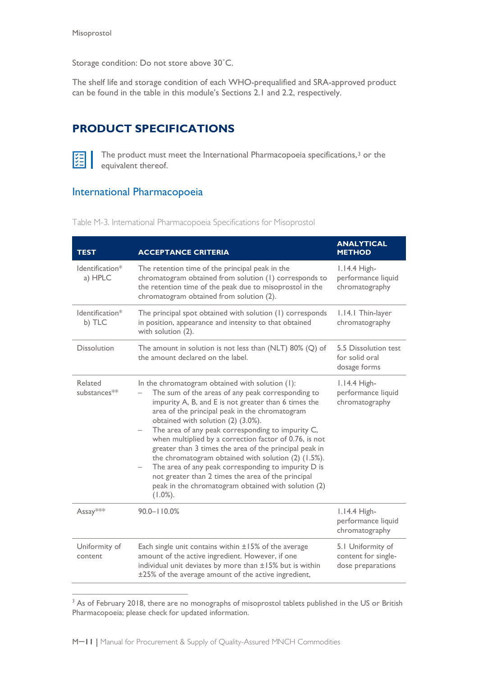Storage condition: Do not store above 30˚C.

The shelf life and storage condition of each WHO-prequalified and SRA-approved product can be found in the table in this module's Sections 2.1 and 2.2, respectively.

# <span id="page-11-0"></span>**PRODUCT SPECIFICATIONS**



 $\overline{a}$ 

The product must meet the International Pharmacopoeia specifications,<sup>[3](#page-11-1)</sup> or the equivalent thereof.

## International Pharmacopoeia

| <b>TEST</b>                | <b>ACCEPTANCE CRITERIA</b>                                                                                                                                                                                                                                                                                                                                                                                                                                                                                                                                                                                                                                             | <b>ANALYTICAL</b><br><b>METHOD</b>                            |
|----------------------------|------------------------------------------------------------------------------------------------------------------------------------------------------------------------------------------------------------------------------------------------------------------------------------------------------------------------------------------------------------------------------------------------------------------------------------------------------------------------------------------------------------------------------------------------------------------------------------------------------------------------------------------------------------------------|---------------------------------------------------------------|
| Identification*<br>a) HPLC | The retention time of the principal peak in the<br>chromatogram obtained from solution (1) corresponds to<br>the retention time of the peak due to misoprostol in the<br>chromatogram obtained from solution (2).                                                                                                                                                                                                                                                                                                                                                                                                                                                      | 1.14.4 High-<br>performance liquid<br>chromatography          |
| Identification*<br>b) TLC  | The principal spot obtained with solution (1) corresponds<br>in position, appearance and intensity to that obtained<br>with solution (2).                                                                                                                                                                                                                                                                                                                                                                                                                                                                                                                              | 1.14.1 Thin-layer<br>chromatography                           |
| <b>Dissolution</b>         | The amount in solution is not less than (NLT) 80% (Q) of<br>the amount declared on the label.                                                                                                                                                                                                                                                                                                                                                                                                                                                                                                                                                                          | 5.5 Dissolution test<br>for solid oral<br>dosage forms        |
| Related<br>substances**    | In the chromatogram obtained with solution (I):<br>The sum of the areas of any peak corresponding to<br>impurity A, B, and E is not greater than 6 times the<br>area of the principal peak in the chromatogram<br>obtained with solution (2) (3.0%).<br>The area of any peak corresponding to impurity C,<br>when multiplied by a correction factor of 0.76, is not<br>greater than 3 times the area of the principal peak in<br>the chromatogram obtained with solution (2) (1.5%).<br>The area of any peak corresponding to impurity D is<br>not greater than 2 times the area of the principal<br>peak in the chromatogram obtained with solution (2)<br>$(1.0\%).$ | 1.14.4 High-<br>performance liquid<br>chromatography          |
| Assay***                   | $90.0 - 110.0%$                                                                                                                                                                                                                                                                                                                                                                                                                                                                                                                                                                                                                                                        | 1.14.4 High-<br>performance liquid<br>chromatography          |
| Uniformity of<br>content   | Each single unit contains within $\pm 15\%$ of the average<br>amount of the active ingredient. However, if one<br>individual unit deviates by more than ±15% but is within<br>±25% of the average amount of the active ingredient,                                                                                                                                                                                                                                                                                                                                                                                                                                     | 5.1 Uniformity of<br>content for single-<br>dose preparations |

Table M-3. International Pharmacopoeia Specifications for Misoprostol

<span id="page-11-1"></span><sup>&</sup>lt;sup>3</sup> As of February 2018, there are no monographs of misoprostol tablets published in the US or British Pharmacopoeia; please check for updated information.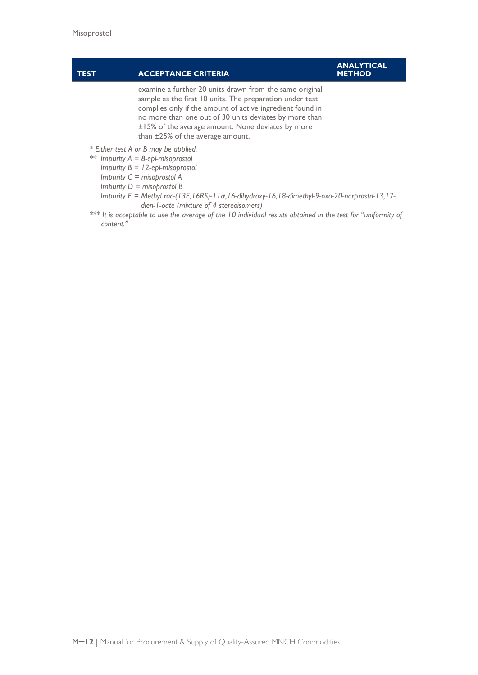#### **TEST ACCEPTANCE CRITERIA ANALYTICAL METHOD** examine a further 20 units drawn from the same original sample as the first 10 units. The preparation under test complies only if the amount of active ingredient found in no more than one out of 30 units deviates by more than ±15% of the average amount. None deviates by more

than ±25% of the average amount.

*\* Either test A or B may be applied.*

- *\*\* Impurity A = 8-epi-misoprostol*
	- *Impurity B = 12-epi-misoprostol*
	- *Impurity C = misoprostol A*
	- *Impurity D = misoprostol B*
	- *Impurity E = Methyl rac-(13E,16RS)-11α,16-dihydroxy-16,18-dimethyl-9-oxo-20-norprosta-13,17 dien-1-oate (mixture of 4 stereoisomers)*
- *\*\*\* It is acceptable to use the average of the 10 individual results obtained in the test for "uniformity of content."*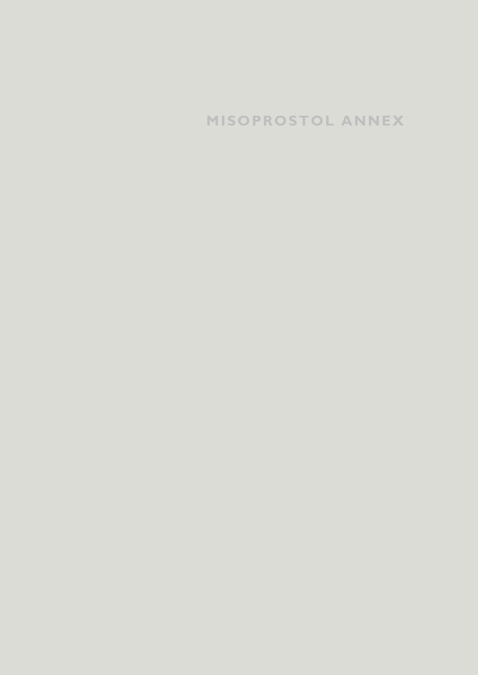# **MISOPROSTOL ANNEX**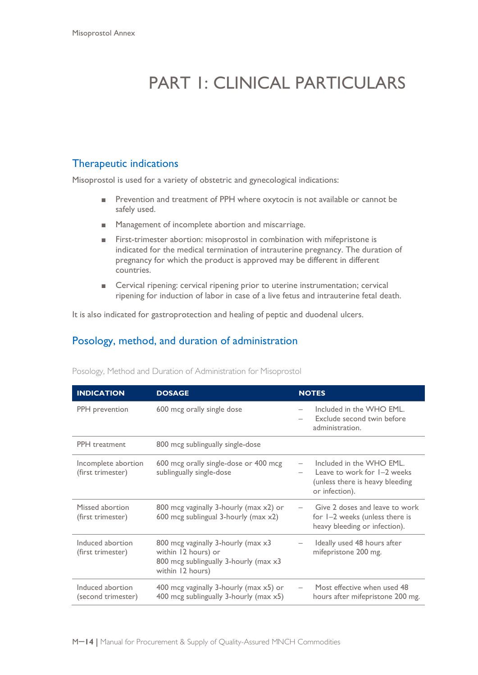# PART 1: CLINICAL PARTICULARS

## Therapeutic indications

Misoprostol is used for a variety of obstetric and gynecological indications:

- Prevention and treatment of PPH where oxytocin is not available or cannot be safely used.
- Management of incomplete abortion and miscarriage.
- First-trimester abortion: misoprostol in combination with mifepristone is indicated for the medical termination of intrauterine pregnancy. The duration of pregnancy for which the product is approved may be different in different countries.
- Cervical ripening: cervical ripening prior to uterine instrumentation; cervical ripening for induction of labor in case of a live fetus and intrauterine fetal death.

It is also indicated for gastroprotection and healing of peptic and duodenal ulcers.

## Posology, method, and duration of administration

| <b>INDICATION</b>                        | <b>DOSAGE</b>                                                                                                          | <b>NOTES</b>                                                                                                 |
|------------------------------------------|------------------------------------------------------------------------------------------------------------------------|--------------------------------------------------------------------------------------------------------------|
| PPH prevention                           | 600 mcg orally single dose                                                                                             | Included in the WHO EML.<br>Exclude second twin before<br>administration.                                    |
| <b>PPH</b> treatment                     | 800 mcg sublingually single-dose                                                                                       |                                                                                                              |
| Incomplete abortion<br>(first trimester) | 600 mcg orally single-dose or 400 mcg<br>sublingually single-dose                                                      | Included in the WHO EML.<br>Leave to work for 1–2 weeks<br>(unless there is heavy bleeding<br>or infection). |
| Missed abortion<br>(first trimester)     | 800 mcg vaginally 3-hourly (max x2) or<br>600 mcg sublingual 3-hourly (max $x2$ )                                      | Give 2 doses and leave to work<br>for I-2 weeks (unless there is<br>heavy bleeding or infection).            |
| Induced abortion<br>(first trimester)    | 800 mcg vaginally 3-hourly (max x3<br>within 12 hours) or<br>800 mcg sublingually 3-hourly (max x3<br>within 12 hours) | Ideally used 48 hours after<br>mifepristone 200 mg.                                                          |
| Induced abortion<br>(second trimester)   | 400 mcg vaginally 3-hourly (max x5) or<br>400 mcg sublingually 3-hourly (max x5)                                       | Most effective when used 48<br>hours after mifepristone 200 mg.                                              |

Posology, Method and Duration of Administration for Misoprostol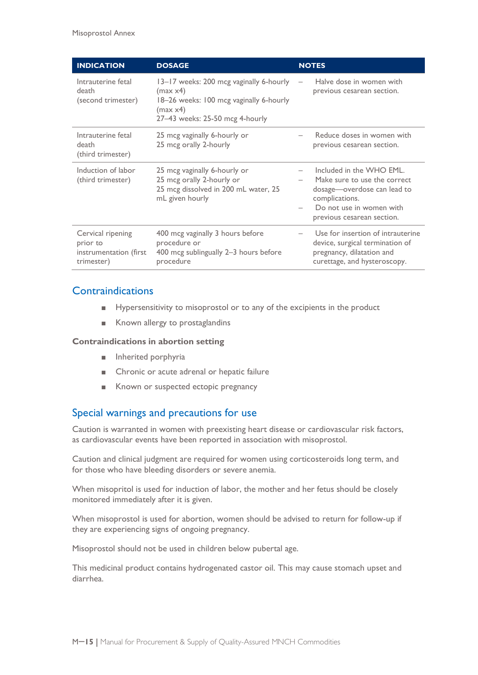| <b>INDICATION</b>                                                     | <b>DOSAGE</b>                                                                                                                                 | <b>NOTES</b>                                                                                                                                                        |
|-----------------------------------------------------------------------|-----------------------------------------------------------------------------------------------------------------------------------------------|---------------------------------------------------------------------------------------------------------------------------------------------------------------------|
| Intrauterine fetal<br>death<br>(second trimester)                     | 13-17 weeks: 200 mcg vaginally 6-hourly<br>(max x4)<br>18-26 weeks: 100 mcg vaginally 6-hourly<br>(max x4)<br>27-43 weeks: 25-50 mcg 4-hourly | Halve dose in women with<br>previous cesarean section.                                                                                                              |
| Intrauterine fetal<br>death<br>(third trimester)                      | 25 mcg vaginally 6-hourly or<br>25 mcg orally 2-hourly                                                                                        | Reduce doses in women with<br>previous cesarean section.                                                                                                            |
| Induction of labor<br>(third trimester)                               | 25 mcg vaginally 6-hourly or<br>25 mcg orally 2-hourly or<br>25 mcg dissolved in 200 mL water, 25<br>mL given hourly                          | Included in the WHO EML.<br>Make sure to use the correct<br>dosage—overdose can lead to<br>complications.<br>Do not use in women with<br>previous cesarean section. |
| Cervical ripening<br>prior to<br>instrumentation (first<br>trimester) | 400 mcg vaginally 3 hours before<br>procedure or<br>400 mcg sublingually 2-3 hours before<br>procedure                                        | Use for insertion of intrauterine<br>device, surgical termination of<br>pregnancy, dilatation and<br>curettage, and hysteroscopy.                                   |

## **Contraindications**

- Hypersensitivity to misoprostol or to any of the excipients in the product
- Known allergy to prostaglandins

#### **Contraindications in abortion setting**

- Inherited porphyria
- Chronic or acute adrenal or hepatic failure
- Known or suspected ectopic pregnancy

## Special warnings and precautions for use

Caution is warranted in women with preexisting heart disease or cardiovascular risk factors, as cardiovascular events have been reported in association with misoprostol.

Caution and clinical judgment are required for women using corticosteroids long term, and for those who have bleeding disorders or severe anemia.

When misopritol is used for induction of labor, the mother and her fetus should be closely monitored immediately after it is given.

When misoprostol is used for abortion, women should be advised to return for follow-up if they are experiencing signs of ongoing pregnancy.

Misoprostol should not be used in children below pubertal age.

This medicinal product contains hydrogenated castor oil. This may cause stomach upset and diarrhea.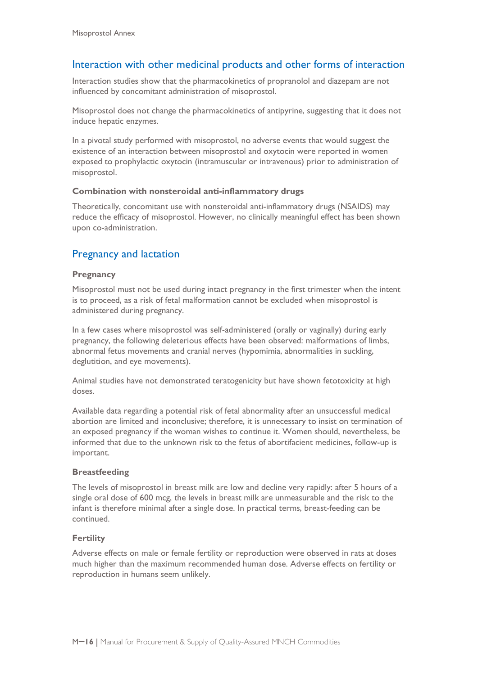## Interaction with other medicinal products and other forms of interaction

Interaction studies show that the pharmacokinetics of propranolol and diazepam are not influenced by concomitant administration of misoprostol.

Misoprostol does not change the pharmacokinetics of antipyrine, suggesting that it does not induce hepatic enzymes.

In a pivotal study performed with misoprostol, no adverse events that would suggest the existence of an interaction between misoprostol and oxytocin were reported in women exposed to prophylactic oxytocin (intramuscular or intravenous) prior to administration of misoprostol.

## **Combination with nonsteroidal anti-inflammatory drugs**

Theoretically, concomitant use with nonsteroidal anti-inflammatory drugs (NSAIDS) may reduce the efficacy of misoprostol. However, no clinically meaningful effect has been shown upon co-administration.

## Pregnancy and lactation

### **Pregnancy**

Misoprostol must not be used during intact pregnancy in the first trimester when the intent is to proceed, as a risk of fetal malformation cannot be excluded when misoprostol is administered during pregnancy.

In a few cases where misoprostol was self-administered (orally or vaginally) during early pregnancy, the following deleterious effects have been observed: malformations of limbs, abnormal fetus movements and cranial nerves (hypomimia, abnormalities in suckling, deglutition, and eye movements).

Animal studies have not demonstrated teratogenicity but have shown fetotoxicity at high doses.

Available data regarding a potential risk of fetal abnormality after an unsuccessful medical abortion are limited and inconclusive; therefore, it is unnecessary to insist on termination of an exposed pregnancy if the woman wishes to continue it. Women should, nevertheless, be informed that due to the unknown risk to the fetus of abortifacient medicines, follow-up is important.

#### **Breastfeeding**

The levels of misoprostol in breast milk are low and decline very rapidly: after 5 hours of a single oral dose of 600 mcg, the levels in breast milk are unmeasurable and the risk to the infant is therefore minimal after a single dose. In practical terms, breast-feeding can be continued.

#### **Fertility**

Adverse effects on male or female fertility or reproduction were observed in rats at doses much higher than the maximum recommended human dose. Adverse effects on fertility or reproduction in humans seem unlikely.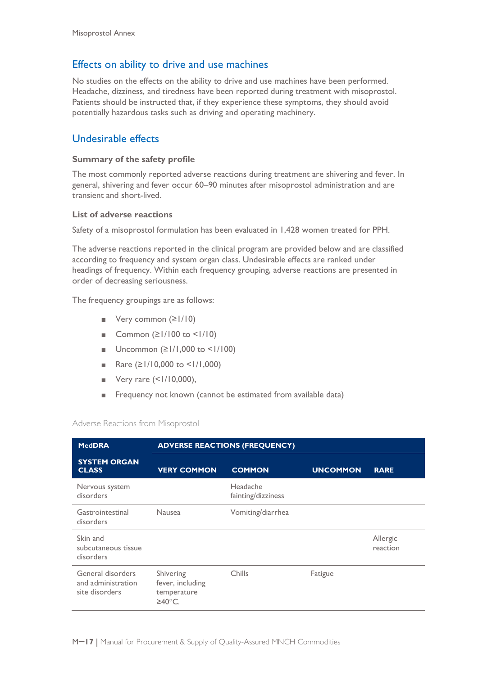## Effects on ability to drive and use machines

No studies on the effects on the ability to drive and use machines have been performed. Headache, dizziness, and tiredness have been reported during treatment with misoprostol. Patients should be instructed that, if they experience these symptoms, they should avoid potentially hazardous tasks such as driving and operating machinery.

## Undesirable effects

### **Summary of the safety profile**

The most commonly reported adverse reactions during treatment are shivering and fever. In general, shivering and fever occur 60–90 minutes after misoprostol administration and are transient and short-lived.

#### **List of adverse reactions**

Safety of a misoprostol formulation has been evaluated in 1,428 women treated for PPH.

The adverse reactions reported in the clinical program are provided below and are classified according to frequency and system organ class. Undesirable effects are ranked under headings of frequency. Within each frequency grouping, adverse reactions are presented in order of decreasing seriousness.

The frequency groupings are as follows:

- Very common (≥1/10)
- Common (≥1/100 to <1/10)
- Uncommon ( $\geq$  |/|,000 to <1/100)
- Rare  $(≥1/10,000$  to  $≤1/1,000)$
- Very rare (<1/10,000),
- Frequency not known (cannot be estimated from available data)

#### Adverse Reactions from Misoprostol

| <b>MedDRA</b>                                             | <b>ADVERSE REACTIONS (FREQUENCY)</b>                   |                                |                 |                      |
|-----------------------------------------------------------|--------------------------------------------------------|--------------------------------|-----------------|----------------------|
| <b>SYSTEM ORGAN</b><br><b>CLASS</b>                       | <b>VERY COMMON</b>                                     | <b>COMMON</b>                  | <b>UNCOMMON</b> | <b>RARE</b>          |
| Nervous system<br>disorders                               |                                                        | Headache<br>fainting/dizziness |                 |                      |
| Gastrointestinal<br>disorders                             | <b>Nausea</b>                                          | Vomiting/diarrhea              |                 |                      |
| Skin and<br>subcutaneous tissue<br>disorders              |                                                        |                                |                 | Allergic<br>reaction |
| General disorders<br>and administration<br>site disorders | Shivering<br>fever, including<br>temperature<br>≥40°C. | Chills                         | Fatigue         |                      |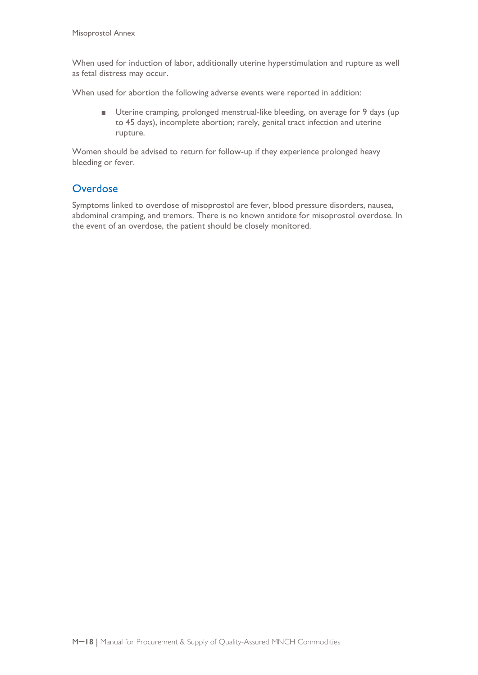When used for induction of labor, additionally uterine hyperstimulation and rupture as well as fetal distress may occur.

When used for abortion the following adverse events were reported in addition:

■ Uterine cramping, prolonged menstrual-like bleeding, on average for 9 days (up to 45 days), incomplete abortion; rarely, genital tract infection and uterine rupture.

Women should be advised to return for follow-up if they experience prolonged heavy bleeding or fever.

## **Overdose**

Symptoms linked to overdose of misoprostol are fever, blood pressure disorders, nausea, abdominal cramping, and tremors. There is no known antidote for misoprostol overdose. In the event of an overdose, the patient should be closely monitored.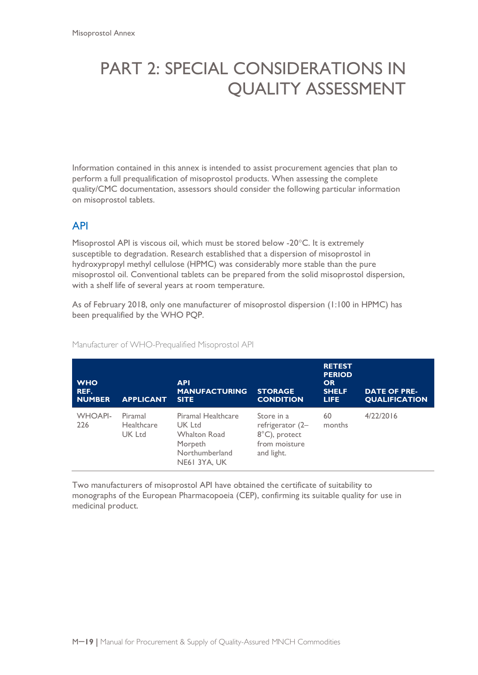# PART 2: SPECIAL CONSIDERATIONS IN QUALITY ASSESSMENT

Information contained in this annex is intended to assist procurement agencies that plan to perform a full prequalification of misoprostol products. When assessing the complete quality/CMC documentation, assessors should consider the following particular information on misoprostol tablets.

## API

Misoprostol API is viscous oil, which must be stored below -20°C. It is extremely susceptible to degradation. Research established that a dispersion of misoprostol in hydroxypropyl methyl cellulose (HPMC) was considerably more stable than the pure misoprostol oil. Conventional tablets can be prepared from the solid misoprostol dispersion, with a shelf life of several years at room temperature.

As of February 2018, only one manufacturer of misoprostol dispersion (1:100 in HPMC) has been prequalified by the WHO PQP.

| <b>WHO</b><br>REF.<br><b>NUMBER</b> | <b>APPLICANT</b>                | <b>API</b><br><b>MANUFACTURING</b><br><b>SITE</b>                                                | <b>STORAGE</b><br><b>CONDITION</b>                                             | <b>RETEST</b><br><b>PERIOD</b><br><b>OR</b><br><b>SHELF</b><br><b>LIFE</b> | <b>DATE OF PRE-</b><br><b>QUALIFICATION</b> |
|-------------------------------------|---------------------------------|--------------------------------------------------------------------------------------------------|--------------------------------------------------------------------------------|----------------------------------------------------------------------------|---------------------------------------------|
| <b>WHOAPI-</b><br>226               | Piramal<br>Healthcare<br>UK Ltd | Piramal Healthcare<br>UK Ltd<br><b>Whalton Road</b><br>Morpeth<br>Northumberland<br>NE61 3YA, UK | Store in a<br>refrigerator (2–<br>8°C), protect<br>from moisture<br>and light. | 60<br>months                                                               | 4/22/2016                                   |

Manufacturer of WHO-Prequalified Misoprostol API

Two manufacturers of misoprostol API have obtained the certificate of suitability to monographs of the European Pharmacopoeia (CEP), confirming its suitable quality for use in medicinal product.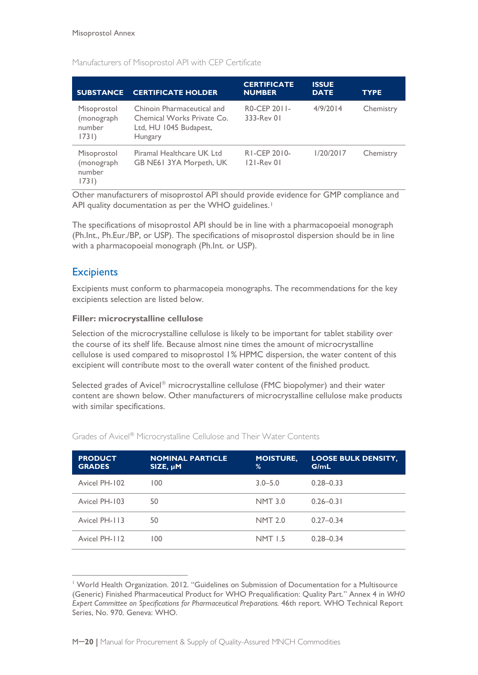| <b>SUBSTANCE</b>                             | <b>CERTIFICATE HOLDER</b>                                                                     | <b>CERTIFICATE</b><br><b>NUMBER</b> | <b>ISSUE</b><br><b>DATE</b> | <b>TYPE</b> |
|----------------------------------------------|-----------------------------------------------------------------------------------------------|-------------------------------------|-----------------------------|-------------|
| Misoprostol<br>(monograph<br>number<br>1731) | Chinoin Pharmaceutical and<br>Chemical Works Private Co.<br>Ltd, HU 1045 Budapest,<br>Hungary | RO-CEP 2011-<br>333-Rev 01          | 4/9/2014                    | Chemistry   |
| Misoprostol<br>(monograph<br>number<br>1731) | Piramal Healthcare UK Ltd<br>GB NE61 3YA Morpeth, UK                                          | RI-CEP 2010-<br>121-Rev 01          | 1/20/2017                   | Chemistry   |

Manufacturers of Misoprostol API with CEP Certificate

Other manufacturers of misoprostol API should provide evidence for GMP compliance and API quality documentation as per the WHO guidelines.<sup>[1](#page-20-0)</sup>

The specifications of misoprostol API should be in line with a pharmacopoeial monograph (Ph.Int., Ph.Eur./BP, or USP). The specifications of misoprostol dispersion should be in line with a pharmacopoeial monograph (Ph.Int. or USP).

## **Excipients**

 $\overline{a}$ 

Excipients must conform to pharmacopeia monographs. The recommendations for the key excipients selection are listed below.

## **Filler: microcrystalline cellulose**

Selection of the microcrystalline cellulose is likely to be important for tablet stability over the course of its shelf life. Because almost nine times the amount of microcrystalline cellulose is used compared to misoprostol 1% HPMC dispersion, the water content of this excipient will contribute most to the overall water content of the finished product.

Selected grades of Avicel<sup>®</sup> microcrystalline cellulose (FMC biopolymer) and their water content are shown below. Other manufacturers of microcrystalline cellulose make products with similar specifications.

| <b>PRODUCT</b><br><b>GRADES</b> | <b>NOMINAL PARTICLE</b><br>$SIZE, \mu M$ | <b>MOISTURE,</b><br>% | <b>LOOSE BULK DENSITY,</b><br>G/mL |
|---------------------------------|------------------------------------------|-----------------------|------------------------------------|
| Avicel PH-102                   | 100                                      | $3.0 - 5.0$           | $0.28 - 0.33$                      |
| Avicel PH-103                   | 50                                       | <b>NMT 3.0</b>        | $0.26 - 0.31$                      |
| Avicel PH-113                   | 50                                       | <b>NMT 2.0</b>        | $0.27 - 0.34$                      |
| Avicel PH-112                   | 100                                      | <b>NMT 1.5</b>        | $0.28 - 0.34$                      |

Grades of Avicel<sup>®</sup> Microcrystalline Cellulose and Their Water Contents

<span id="page-20-0"></span><sup>1</sup> World Health Organization. 2012. "Guidelines on Submission of Documentation for a Multisource (Generic) Finished Pharmaceutical Product for WHO Prequalification: Quality Part." Annex 4 in *WHO Expert Committee on Specifications for Pharmaceutical Preparations.* 46th report. WHO Technical Report Series, No. 970. Geneva: WHO.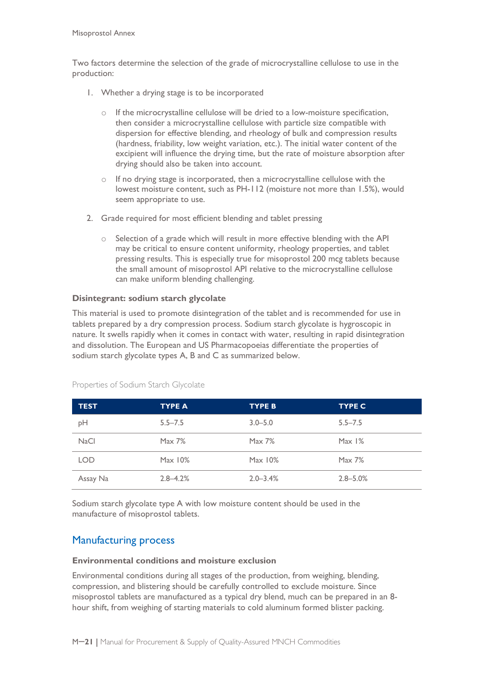Two factors determine the selection of the grade of microcrystalline cellulose to use in the production:

- 1. Whether a drying stage is to be incorporated
	- $\circ$  If the microcrystalline cellulose will be dried to a low-moisture specification, then consider a microcrystalline cellulose with particle size compatible with dispersion for effective blending, and rheology of bulk and compression results (hardness, friability, low weight variation, etc.). The initial water content of the excipient will influence the drying time, but the rate of moisture absorption after drying should also be taken into account.
	- o If no drying stage is incorporated, then a microcrystalline cellulose with the lowest moisture content, such as PH-112 (moisture not more than 1.5%), would seem appropriate to use.
- 2. Grade required for most efficient blending and tablet pressing
	- $\circ$  Selection of a grade which will result in more effective blending with the API may be critical to ensure content uniformity, rheology properties, and tablet pressing results. This is especially true for misoprostol 200 mcg tablets because the small amount of misoprostol API relative to the microcrystalline cellulose can make uniform blending challenging.

### **Disintegrant: sodium starch glycolate**

This material is used to promote disintegration of the tablet and is recommended for use in tablets prepared by a dry compression process. Sodium starch glycolate is hygroscopic in nature. It swells rapidly when it comes in contact with water, resulting in rapid disintegration and dissolution. The European and US Pharmacopoeias differentiate the properties of sodium starch glycolate types A, B and C as summarized below.

| <b>TEST</b> | <b>TYPE A</b> | <b>TYPE B</b> | <b>TYPE C</b> |
|-------------|---------------|---------------|---------------|
| pH          | $5.5 - 7.5$   | $3.0 - 5.0$   | $5.5 - 7.5$   |
| <b>NaCl</b> | Max 7%        | Max 7%        | Max 1%        |
| <b>LOD</b>  | Max 10%       | Max 10%       | Max 7%        |
| Assay Na    | $2.8 - 4.2%$  | $2.0 - 3.4%$  | $2.8 - 5.0\%$ |

Properties of Sodium Starch Glycolate

Sodium starch glycolate type A with low moisture content should be used in the manufacture of misoprostol tablets.

## Manufacturing process

#### **Environmental conditions and moisture exclusion**

Environmental conditions during all stages of the production, from weighing, blending, compression, and blistering should be carefully controlled to exclude moisture. Since misoprostol tablets are manufactured as a typical dry blend, much can be prepared in an 8 hour shift, from weighing of starting materials to cold aluminum formed blister packing.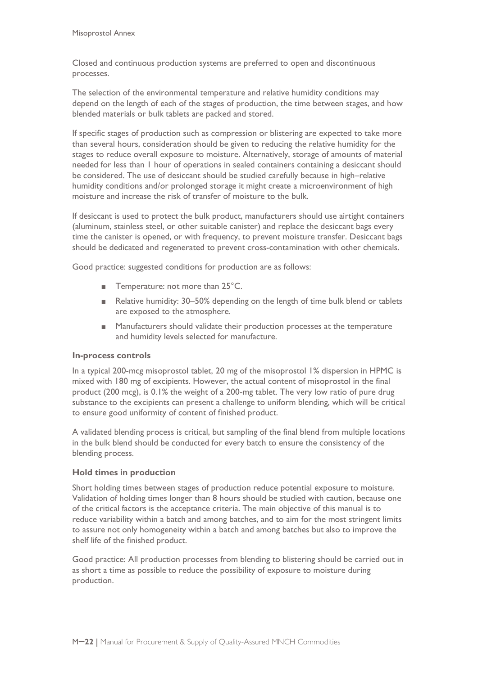Closed and continuous production systems are preferred to open and discontinuous processes.

The selection of the environmental temperature and relative humidity conditions may depend on the length of each of the stages of production, the time between stages, and how blended materials or bulk tablets are packed and stored.

If specific stages of production such as compression or blistering are expected to take more than several hours, consideration should be given to reducing the relative humidity for the stages to reduce overall exposure to moisture. Alternatively, storage of amounts of material needed for less than 1 hour of operations in sealed containers containing a desiccant should be considered. The use of desiccant should be studied carefully because in high–relative humidity conditions and/or prolonged storage it might create a microenvironment of high moisture and increase the risk of transfer of moisture to the bulk.

If desiccant is used to protect the bulk product, manufacturers should use airtight containers (aluminum, stainless steel, or other suitable canister) and replace the desiccant bags every time the canister is opened, or with frequency, to prevent moisture transfer. Desiccant bags should be dedicated and regenerated to prevent cross-contamination with other chemicals.

Good practice: suggested conditions for production are as follows:

- Temperature: not more than 25°C.
- Relative humidity: 30–50% depending on the length of time bulk blend or tablets are exposed to the atmosphere.
- Manufacturers should validate their production processes at the temperature and humidity levels selected for manufacture.

### **In-process controls**

In a typical 200-mcg misoprostol tablet, 20 mg of the misoprostol 1% dispersion in HPMC is mixed with 180 mg of excipients. However, the actual content of misoprostol in the final product (200 mcg), is 0.1% the weight of a 200-mg tablet. The very low ratio of pure drug substance to the excipients can present a challenge to uniform blending, which will be critical to ensure good uniformity of content of finished product.

A validated blending process is critical, but sampling of the final blend from multiple locations in the bulk blend should be conducted for every batch to ensure the consistency of the blending process.

## **Hold times in production**

Short holding times between stages of production reduce potential exposure to moisture. Validation of holding times longer than 8 hours should be studied with caution, because one of the critical factors is the acceptance criteria. The main objective of this manual is to reduce variability within a batch and among batches, and to aim for the most stringent limits to assure not only homogeneity within a batch and among batches but also to improve the shelf life of the finished product.

Good practice: All production processes from blending to blistering should be carried out in as short a time as possible to reduce the possibility of exposure to moisture during production.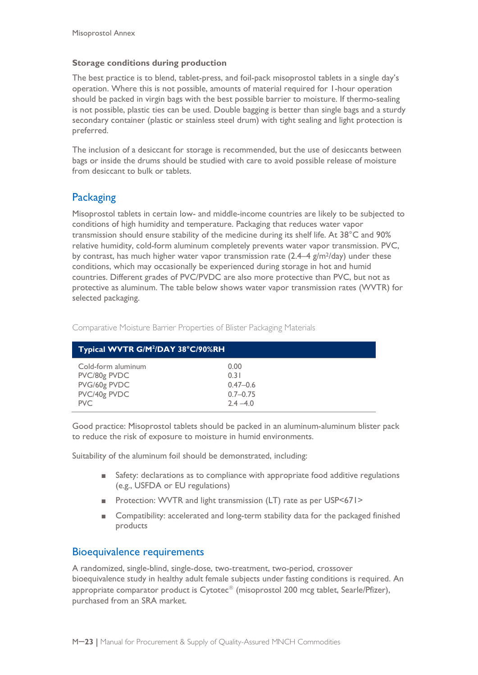#### **Storage conditions during production**

The best practice is to blend, tablet-press, and foil-pack misoprostol tablets in a single day's operation. Where this is not possible, amounts of material required for 1-hour operation should be packed in virgin bags with the best possible barrier to moisture. If thermo-sealing is not possible, plastic ties can be used. Double bagging is better than single bags and a sturdy secondary container (plastic or stainless steel drum) with tight sealing and light protection is preferred.

The inclusion of a desiccant for storage is recommended, but the use of desiccants between bags or inside the drums should be studied with care to avoid possible release of moisture from desiccant to bulk or tablets.

## **Packaging**

Misoprostol tablets in certain low- and middle-income countries are likely to be subjected to conditions of high humidity and temperature. Packaging that reduces water vapor transmission should ensure stability of the medicine during its shelf life. At 38°C and 90% relative humidity, cold-form aluminum completely prevents water vapor transmission. PVC, by contrast, has much higher water vapor transmission rate  $(2.4-4 \text{ g/m}^2/\text{day})$  under these conditions, which may occasionally be experienced during storage in hot and humid countries. Different grades of PVC/PVDC are also more protective than PVC, but not as protective as aluminum. The table below shows water vapor transmission rates (WVTR) for selected packaging.

| Typical WVTR G/M <sup>2</sup> /DAY 38°C/90%RH |              |
|-----------------------------------------------|--------------|
| Cold-form aluminum                            | 0.00         |
| PVC/80g PVDC                                  | 0.31         |
| PVG/60g PVDC                                  | $0.47 - 0.6$ |
| PVC/40g PVDC                                  | $0.7 - 0.75$ |
| <b>PVC</b>                                    | $2.4 - 4.0$  |

Comparative Moisture Barrier Properties of Blister Packaging Materials

Good practice: Misoprostol tablets should be packed in an aluminum-aluminum blister pack to reduce the risk of exposure to moisture in humid environments.

Suitability of the aluminum foil should be demonstrated, including:

- Safety: declarations as to compliance with appropriate food additive regulations (e.g., USFDA or EU regulations)
- Protection: WVTR and light transmission (LT) rate as per USP<671>
- Compatibility: accelerated and long-term stability data for the packaged finished products

## Bioequivalence requirements

A randomized, single-blind, single-dose, two-treatment, two-period, crossover bioequivalence study in healthy adult female subjects under fasting conditions is required. An appropriate comparator product is  $C$ ytotec $^{\circ}$  (misoprostol 200 mcg tablet, Searle/Pfizer), purchased from an SRA market.